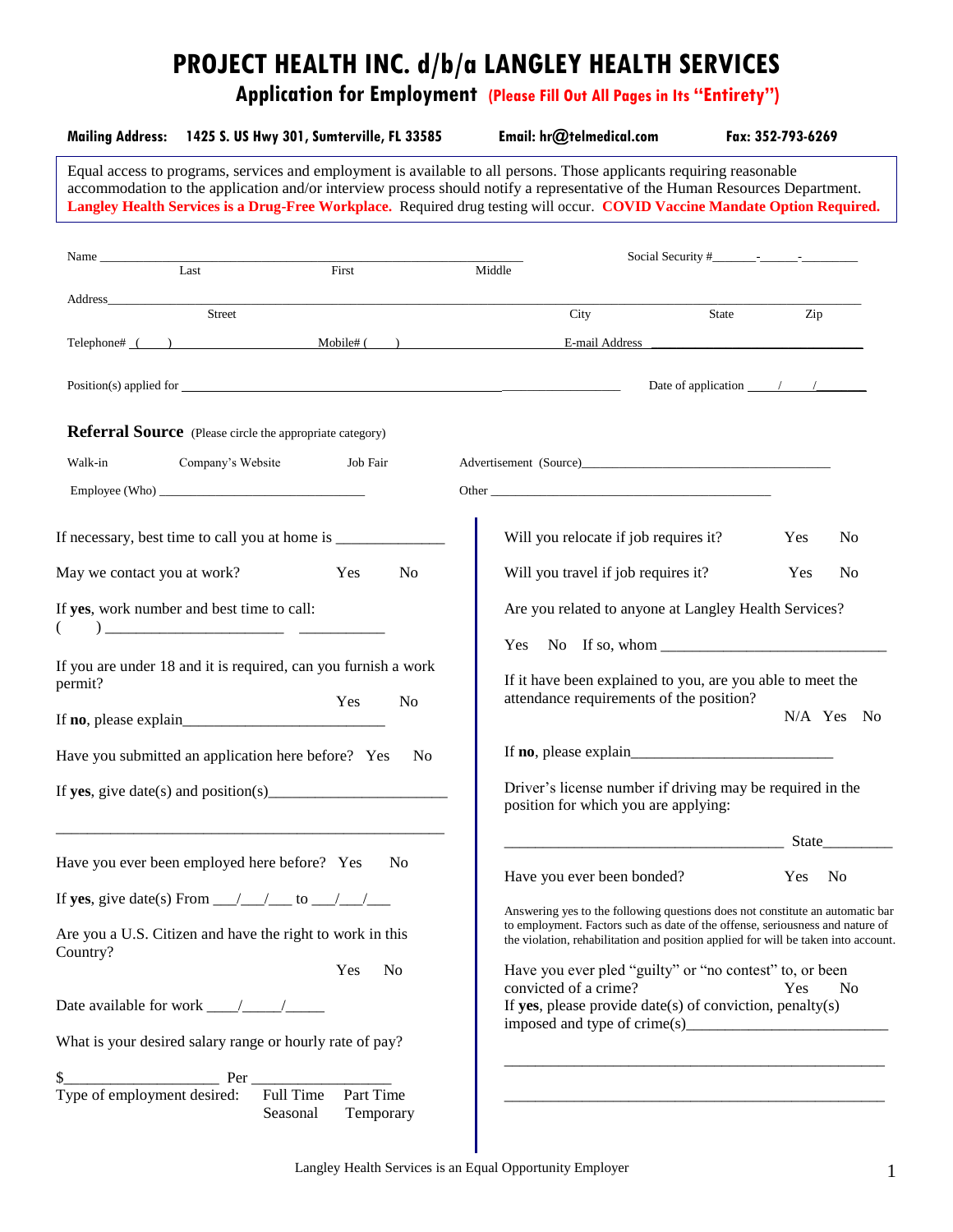# **PROJECT HEALTH INC. d/b/a LANGLEY HEALTH SERVICES**

**Application for Employment (Please Fill Out All Pages in Its "Entirety")**

|                             | Mailing Address: 1425 S. US Hwy 301, Sumterville, FL 33585                                                                                                                                                                                                                                                                                                                        |                        |    |        | Email: hr@telmedical.com             |                                                                                                                                                                     | Fax: 352-793-6269 |                |
|-----------------------------|-----------------------------------------------------------------------------------------------------------------------------------------------------------------------------------------------------------------------------------------------------------------------------------------------------------------------------------------------------------------------------------|------------------------|----|--------|--------------------------------------|---------------------------------------------------------------------------------------------------------------------------------------------------------------------|-------------------|----------------|
|                             | Equal access to programs, services and employment is available to all persons. Those applicants requiring reasonable<br>accommodation to the application and/or interview process should notify a representative of the Human Resources Department.<br>Langley Health Services is a Drug-Free Workplace. Required drug testing will occur. COVID Vaccine Mandate Option Required. |                        |    |        |                                      |                                                                                                                                                                     |                   |                |
|                             | Last                                                                                                                                                                                                                                                                                                                                                                              | $\overline{First}$     |    | Middle |                                      |                                                                                                                                                                     |                   |                |
|                             | Street                                                                                                                                                                                                                                                                                                                                                                            |                        |    |        | City                                 | State                                                                                                                                                               | Zip               |                |
|                             | Telephone# ( ) Mobile# ( )                                                                                                                                                                                                                                                                                                                                                        |                        |    |        |                                      |                                                                                                                                                                     |                   |                |
|                             | $Position(s)$ applied for $\overline{\phantom{a}}$                                                                                                                                                                                                                                                                                                                                |                        |    |        |                                      | Date of application $\frac{\pi}{2}$                                                                                                                                 |                   |                |
|                             | <b>Referral Source</b> (Please circle the appropriate category)                                                                                                                                                                                                                                                                                                                   |                        |    |        |                                      |                                                                                                                                                                     |                   |                |
| Walk-in                     | Company's Website                                                                                                                                                                                                                                                                                                                                                                 | Job Fair               |    |        |                                      |                                                                                                                                                                     |                   |                |
|                             |                                                                                                                                                                                                                                                                                                                                                                                   |                        |    |        |                                      |                                                                                                                                                                     |                   |                |
|                             |                                                                                                                                                                                                                                                                                                                                                                                   |                        |    |        |                                      | Will you relocate if job requires it?                                                                                                                               | Yes               | N <sub>0</sub> |
| May we contact you at work? |                                                                                                                                                                                                                                                                                                                                                                                   | Yes<br>No              |    |        | Will you travel if job requires it?  |                                                                                                                                                                     | Yes               | N <sub>0</sub> |
|                             | If yes, work number and best time to call:                                                                                                                                                                                                                                                                                                                                        |                        |    |        |                                      | Are you related to anyone at Langley Health Services?                                                                                                               |                   |                |
|                             | $\begin{pmatrix} 1 & 1 \end{pmatrix}$                                                                                                                                                                                                                                                                                                                                             |                        |    |        |                                      |                                                                                                                                                                     |                   |                |
| permit?                     | If you are under 18 and it is required, can you furnish a work                                                                                                                                                                                                                                                                                                                    | N <sub>o</sub><br>Yes  |    |        |                                      | If it have been explained to you, are you able to meet the<br>attendance requirements of the position?                                                              |                   |                |
|                             |                                                                                                                                                                                                                                                                                                                                                                                   |                        |    |        |                                      |                                                                                                                                                                     |                   | N/A Yes No     |
|                             | Have you submitted an application here before? Yes                                                                                                                                                                                                                                                                                                                                |                        | No |        |                                      |                                                                                                                                                                     |                   |                |
|                             |                                                                                                                                                                                                                                                                                                                                                                                   |                        |    |        | position for which you are applying: | Driver's license number if driving may be required in the                                                                                                           |                   |                |
|                             |                                                                                                                                                                                                                                                                                                                                                                                   |                        |    |        |                                      |                                                                                                                                                                     | State             |                |
|                             | Have you ever been employed here before? Yes                                                                                                                                                                                                                                                                                                                                      | N <sub>0</sub>         |    |        | Have you ever been bonded?           |                                                                                                                                                                     | Yes               | No             |
|                             | If yes, give date(s) From $\_\_\_\_\_\_\_\$ to $\_\_\_\_\_\_\_\_\_\_\_\_\_\_$                                                                                                                                                                                                                                                                                                     |                        |    |        |                                      | Answering yes to the following questions does not constitute an automatic bar                                                                                       |                   |                |
| Country?                    | Are you a U.S. Citizen and have the right to work in this                                                                                                                                                                                                                                                                                                                         |                        |    |        |                                      | to employment. Factors such as date of the offense, seriousness and nature of<br>the violation, rehabilitation and position applied for will be taken into account. |                   |                |
|                             | Date available for work $\frac{\sqrt{2}}{2}$                                                                                                                                                                                                                                                                                                                                      | Yes<br>N <sub>0</sub>  |    |        | convicted of a crime?                | Have you ever pled "guilty" or "no contest" to, or been<br>If yes, please provide date(s) of conviction, penalty(s)                                                 | Yes               | N <sub>0</sub> |
|                             | What is your desired salary range or hourly rate of pay?                                                                                                                                                                                                                                                                                                                          |                        |    |        |                                      |                                                                                                                                                                     |                   |                |
|                             |                                                                                                                                                                                                                                                                                                                                                                                   |                        |    |        |                                      |                                                                                                                                                                     |                   |                |
| Type of employment desired: | Full Time<br>Seasonal                                                                                                                                                                                                                                                                                                                                                             | Part Time<br>Temporary |    |        |                                      |                                                                                                                                                                     |                   |                |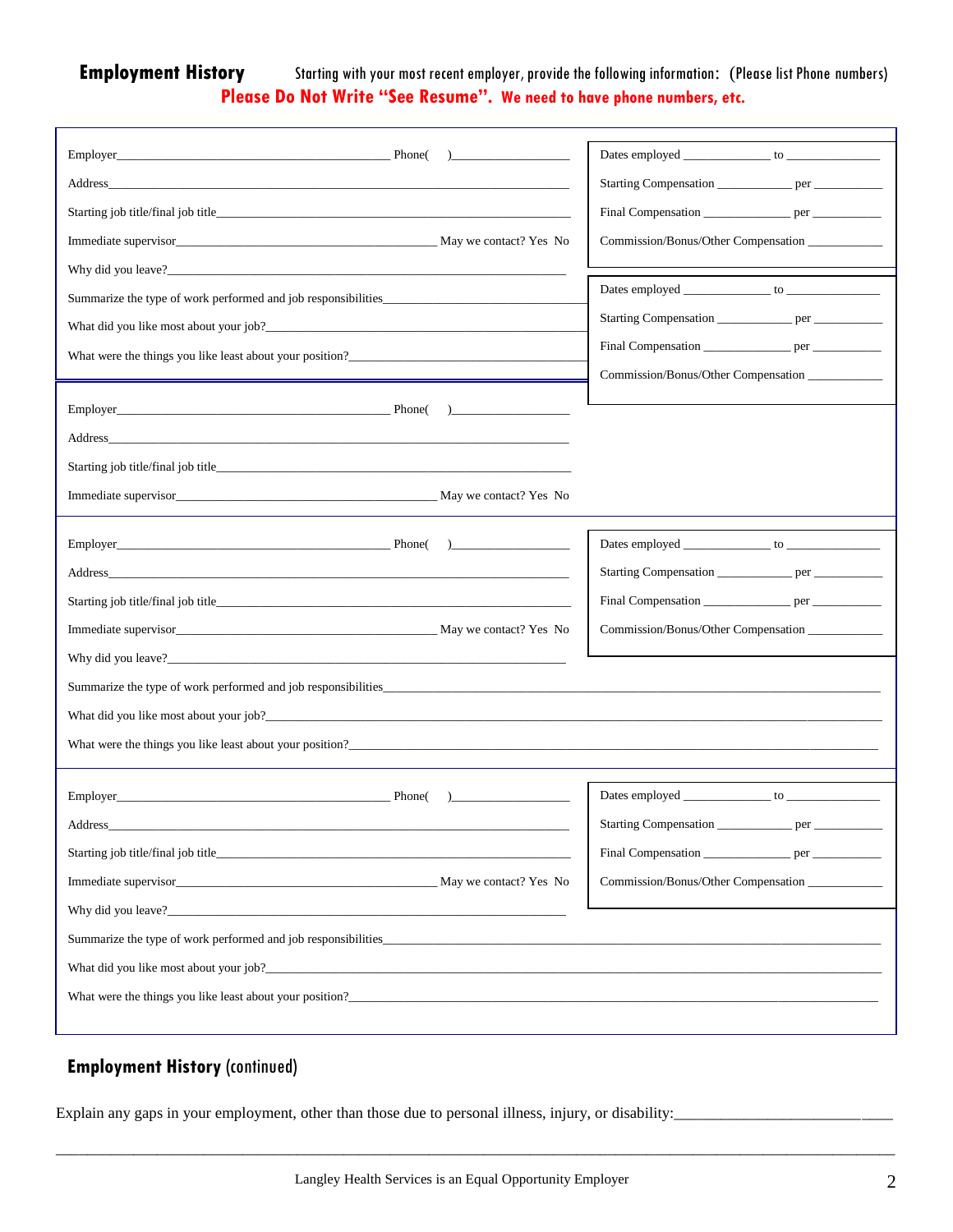### **Employment History** Starting with your most recent employer, provide the following information: (Please list Phone numbers) **Please Do Not Write "See Resume". We need to have phone numbers, etc.**

| $\overline{a}$                                                 |                                                         |
|----------------------------------------------------------------|---------------------------------------------------------|
|                                                                | Starting Compensation ________________ per ____________ |
| Starting job title/final job title                             |                                                         |
|                                                                | Commission/Bonus/Other Compensation                     |
|                                                                |                                                         |
| Summarize the type of work performed and job responsibilities. |                                                         |
| What did you like most about your job?                         | Starting Compensation _______________ per ___________   |
| What were the things you like least about your position?       | Final Compensation __________________ per ____________  |
|                                                                | Commission/Bonus/Other Compensation ____________        |
|                                                                |                                                         |
|                                                                |                                                         |
| Starting job title/final job title                             |                                                         |
|                                                                |                                                         |
|                                                                |                                                         |
|                                                                |                                                         |
|                                                                | Starting Compensation ________________ per ____________ |
|                                                                | Final Compensation __________________ per _____________ |
| Immediate supervisor May we contact? Yes No                    | Commission/Bonus/Other Compensation                     |
|                                                                |                                                         |
| Summarize the type of work performed and job responsibilities  |                                                         |
| What did you like most about your job?                         |                                                         |
|                                                                |                                                         |
|                                                                |                                                         |
| Phone(<br>$\overline{a}$                                       |                                                         |
| Address                                                        | Starting Compensation<br>per_                           |
|                                                                | Final Compensation __________________ per ____________  |
| Immediate supervisor May We contact? Yes No                    | Commission/Bonus/Other Compensation                     |
|                                                                |                                                         |
|                                                                |                                                         |
| Summarize the type of work performed and job responsibilities  |                                                         |
|                                                                |                                                         |
| What were the things you like least about your position?       |                                                         |
|                                                                |                                                         |

## **Employment History** (continued)

Explain any gaps in your employment, other than those due to personal illness, injury, or disability:

\_\_\_\_\_\_\_\_\_\_\_\_\_\_\_\_\_\_\_\_\_\_\_\_\_\_\_\_\_\_\_\_\_\_\_\_\_\_\_\_\_\_\_\_\_\_\_\_\_\_\_\_\_\_\_\_\_\_\_\_\_\_\_\_\_\_\_\_\_\_\_\_\_\_\_\_\_\_\_\_\_\_\_\_\_\_\_\_\_\_\_\_\_\_\_\_\_\_\_\_\_\_\_\_\_\_\_\_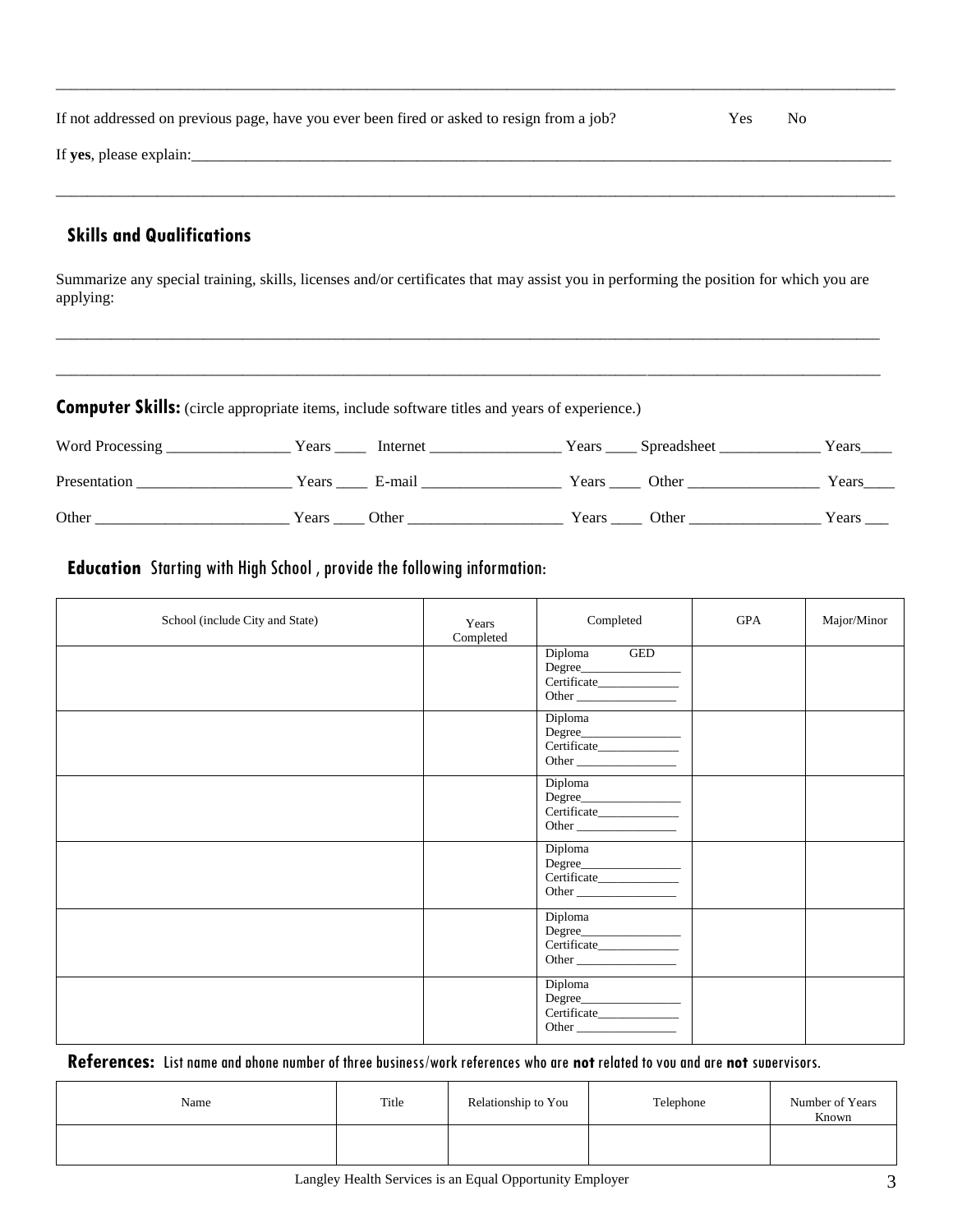| If not addressed on previous page, have you ever been fired or asked to resign from a job? | <b>Yes</b> | N <sub>0</sub> |
|--------------------------------------------------------------------------------------------|------------|----------------|
| If yes, please explain:                                                                    |            |                |

\_\_\_\_\_\_\_\_\_\_\_\_\_\_\_\_\_\_\_\_\_\_\_\_\_\_\_\_\_\_\_\_\_\_\_\_\_\_\_\_\_\_\_\_\_\_\_\_\_\_\_\_\_\_\_\_\_\_\_\_\_\_\_\_\_\_\_\_\_\_\_\_\_\_\_\_\_\_\_\_\_\_\_\_\_\_\_\_\_\_\_\_\_\_\_\_\_\_\_\_\_\_\_\_\_\_\_\_

# **Skills and Qualifications**

Summarize any special training, skills, licenses and/or certificates that may assist you in performing the position for which you are applying:

\_\_\_\_\_\_\_\_\_\_\_\_\_\_\_\_\_\_\_\_\_\_\_\_\_\_\_\_\_\_\_\_\_\_\_\_\_\_\_\_\_\_\_\_\_\_\_\_\_\_\_\_\_\_\_\_\_\_\_\_\_\_\_\_\_\_\_\_\_\_\_\_\_\_\_\_\_\_\_\_\_\_\_\_\_\_\_\_\_\_\_\_\_\_\_\_\_\_\_\_\_\_\_\_\_\_

\_\_\_\_\_\_\_\_\_\_\_\_\_\_\_\_\_\_\_\_\_\_\_\_\_\_\_\_\_\_\_\_\_\_\_\_\_\_\_\_\_\_\_\_\_\_\_\_\_\_\_\_\_\_\_\_\_\_\_\_\_\_\_\_\_\_\_\_\_\_\_\_\_\_\_\_\_\_\_\_\_\_\_\_\_\_\_\_\_\_\_\_\_\_\_\_\_\_\_\_\_\_\_\_\_\_

| <b>Computer Skills:</b> (circle appropriate items, include software titles and years of experience.) |         |              |  |                   |       |  |  |
|------------------------------------------------------------------------------------------------------|---------|--------------|--|-------------------|-------|--|--|
|                                                                                                      |         |              |  | Years Spreadsheet | Years |  |  |
| Presentation                                                                                         |         | Years E-mail |  | Years Other       | Years |  |  |
| Other                                                                                                | Years / | Other        |  |                   | Years |  |  |

## **Education** Starting with High School , provide the following information:

| School (include City and State) | Years<br>Completed | Completed                                                 | GPA | Major/Minor |
|---------------------------------|--------------------|-----------------------------------------------------------|-----|-------------|
|                                 |                    | Diploma GED<br>Degree<br>Certificate____________<br>Other |     |             |
|                                 |                    | Diploma<br>Other                                          |     |             |
|                                 |                    | Diploma<br>Degree                                         |     |             |
|                                 |                    | Diploma<br>Degree<br>Other                                |     |             |
|                                 |                    | Diploma<br>Degree<br>Certificate_____________<br>Other    |     |             |
|                                 |                    | Diploma<br>Degree<br>Other                                |     |             |

#### **References:** List name and phone number of three business/work references who are **not** related to you and are **not** supervisors.

| Name | Title | Relationship to You | Telephone | Number of Years<br>Known |
|------|-------|---------------------|-----------|--------------------------|
|      |       |                     |           |                          |